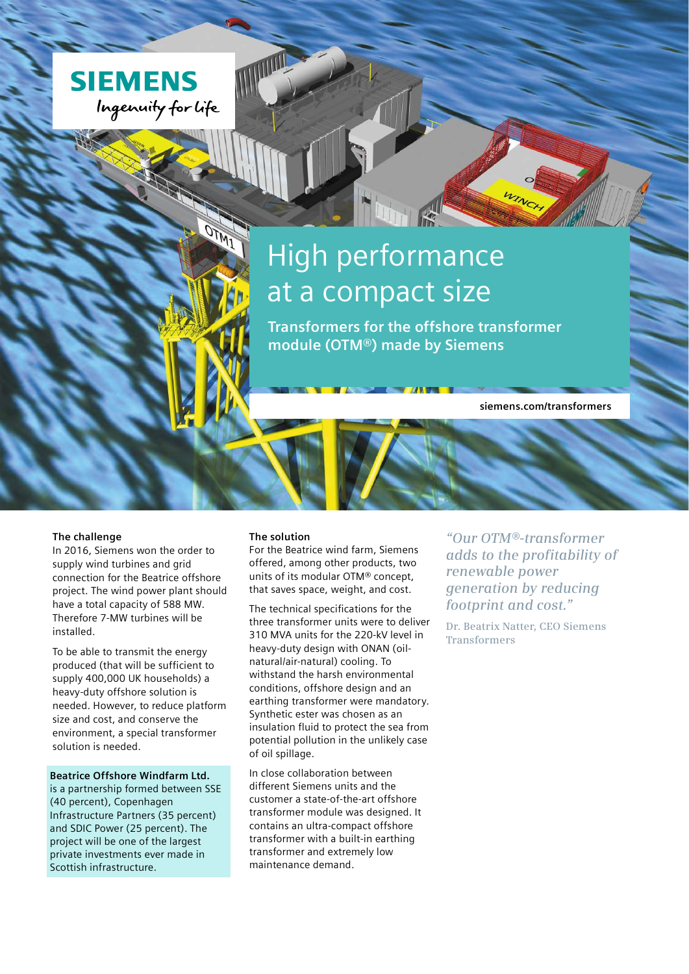

# High performance at a compact size

**Transformers for the offshore transformer module (OTM®) made by Siemens**

**siemens.com/transformers**

#### **The challenge**

In 2016, Siemens won the order to supply wind turbines and grid connection for the Beatrice offshore project. The wind power plant should have a total capacity of 588 MW. Therefore 7-MW turbines will be installed.

To be able to transmit the energy produced (that will be sufficient to supply 400,000 UK households) a heavy-duty offshore solution is needed. However, to reduce platform size and cost, and conserve the environment, a special transformer solution is needed.

#### **Beatrice Offshore Windfarm Ltd.**

is a partnership formed between SSE (40 percent), Copenhagen Infrastructure Partners (35 percent) and SDIC Power (25 percent). The project will be one of the largest private investments ever made in Scottish infrastructure.

#### **The solution**

For the Beatrice wind farm, Siemens offered, among other products, two units of its modular OTM® concept, that saves space, weight, and cost.

The technical specifications for the three transformer units were to deliver 310 MVA units for the 220-kV level in heavy-duty design with ONAN (oilnatural/air-natural) cooling. To withstand the harsh environmental conditions, offshore design and an earthing transformer were mandatory. Synthetic ester was chosen as an insulation fluid to protect the sea from potential pollution in the unlikely case of oil spillage.

In close collaboration between different Siemens units and the customer a state-of-the-art offshore transformer module was designed. It contains an ultra-compact offshore transformer with a built-in earthing transformer and extremely low maintenance demand.

*"Our OTM®-transformer adds to the profitability of renewable power generation by reducing footprint and cost."*

**Dr. Beatrix Natter, CEO Siemens Transformers**